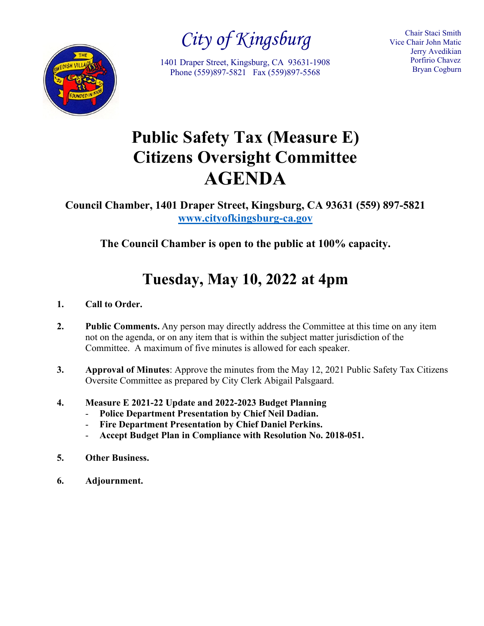

*City of Kingsburg*

1401 Draper Street, Kingsburg, CA 93631-1908 Phone (559)897-5821 Fax (559)897-5568

Chair Staci Smith Vice Chair John Matic Jerry Avedikian Porfirio Chavez Bryan Cogburn

# **Public Safety Tax (Measure E) Citizens Oversight Committee AGENDA**

**Council Chamber, 1401 Draper Street, Kingsburg, CA 93631 (559) 897-5821 [www.cityofkingsburg-ca.gov](http://www.cityofkingsburg-ca.gov/)**

**The Council Chamber is open to the public at 100% capacity.**

## **Tuesday, May 10, 2022 at 4pm**

- **1. Call to Order.**
- **2. Public Comments.** Any person may directly address the Committee at this time on any item not on the agenda, or on any item that is within the subject matter jurisdiction of the Committee. A maximum of five minutes is allowed for each speaker.
- **3. Approval of Minutes**: Approve the minutes from the May 12, 2021 Public Safety Tax Citizens Oversite Committee as prepared by City Clerk Abigail Palsgaard.
- **4. Measure E 2021-22 Update and 2022-2023 Budget Planning**
	- **Police Department Presentation by Chief Neil Dadian.**
	- Fire Department Presentation by Chief Daniel Perkins.
	- **Accept Budget Plan in Compliance with Resolution No. 2018-051.**
- **5. Other Business.**
- **6. Adjournment.**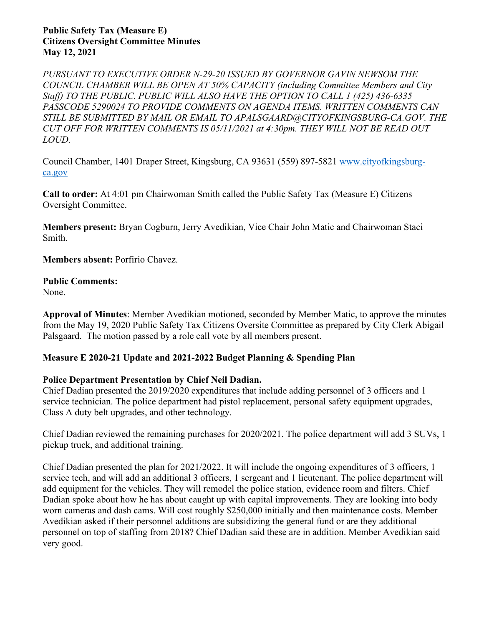#### **Public Safety Tax (Measure E) Citizens Oversight Committee Minutes May 12, 2021**

*PURSUANT TO EXECUTIVE ORDER N-29-20 ISSUED BY GOVERNOR GAVIN NEWSOM THE COUNCIL CHAMBER WILL BE OPEN AT 50% CAPACITY (including Committee Members and City Staff) TO THE PUBLIC. PUBLIC WILL ALSO HAVE THE OPTION TO CALL 1 (425) 436-6335 PASSCODE 5290024 TO PROVIDE COMMENTS ON AGENDA ITEMS. WRITTEN COMMENTS CAN STILL BE SUBMITTED BY MAIL OR EMAIL TO APALSGAARD@CITYOFKINGSBURG-CA.GOV. THE CUT OFF FOR WRITTEN COMMENTS IS 05/11/2021 at 4:30pm. THEY WILL NOT BE READ OUT LOUD.*

Council Chamber, 1401 Draper Street, Kingsburg, CA 93631 (559) 897-5821 [www.cityofkingsburg](http://www.cityofkingsburg-ca.gov/)[ca.gov](http://www.cityofkingsburg-ca.gov/)

**Call to order:** At 4:01 pm Chairwoman Smith called the Public Safety Tax (Measure E) Citizens Oversight Committee.

**Members present:** Bryan Cogburn, Jerry Avedikian, Vice Chair John Matic and Chairwoman Staci Smith.

**Members absent:** Porfirio Chavez.

### **Public Comments:**

None.

**Approval of Minutes**: Member Avedikian motioned, seconded by Member Matic, to approve the minutes from the May 19, 2020 Public Safety Tax Citizens Oversite Committee as prepared by City Clerk Abigail Palsgaard.The motion passed by a role call vote by all members present.

### **Measure E 2020-21 Update and 2021-2022 Budget Planning & Spending Plan**

### **Police Department Presentation by Chief Neil Dadian.**

Chief Dadian presented the 2019/2020 expenditures that include adding personnel of 3 officers and 1 service technician. The police department had pistol replacement, personal safety equipment upgrades, Class A duty belt upgrades, and other technology.

Chief Dadian reviewed the remaining purchases for 2020/2021. The police department will add 3 SUVs, 1 pickup truck, and additional training.

Chief Dadian presented the plan for 2021/2022. It will include the ongoing expenditures of 3 officers, 1 service tech, and will add an additional 3 officers, 1 sergeant and 1 lieutenant. The police department will add equipment for the vehicles. They will remodel the police station, evidence room and filters. Chief Dadian spoke about how he has about caught up with capital improvements. They are looking into body worn cameras and dash cams. Will cost roughly \$250,000 initially and then maintenance costs. Member Avedikian asked if their personnel additions are subsidizing the general fund or are they additional personnel on top of staffing from 2018? Chief Dadian said these are in addition. Member Avedikian said very good.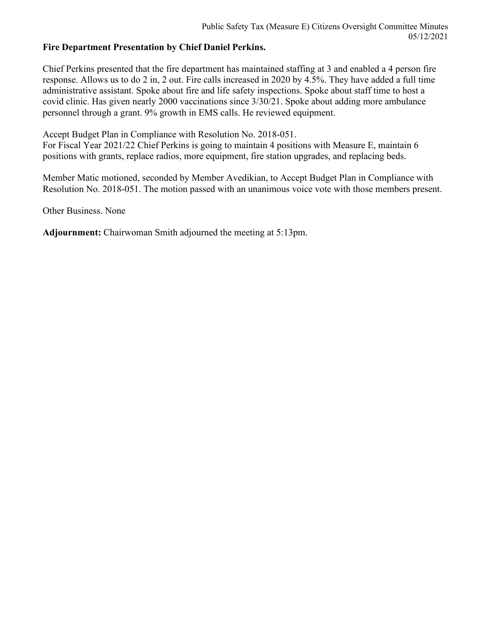### **Fire Department Presentation by Chief Daniel Perkins.**

Chief Perkins presented that the fire department has maintained staffing at 3 and enabled a 4 person fire response. Allows us to do 2 in, 2 out. Fire calls increased in 2020 by 4.5%. They have added a full time administrative assistant. Spoke about fire and life safety inspections. Spoke about staff time to host a covid clinic. Has given nearly 2000 vaccinations since 3/30/21. Spoke about adding more ambulance personnel through a grant. 9% growth in EMS calls. He reviewed equipment.

Accept Budget Plan in Compliance with Resolution No. 2018-051.

For Fiscal Year 2021/22 Chief Perkins is going to maintain 4 positions with Measure E, maintain 6 positions with grants, replace radios, more equipment, fire station upgrades, and replacing beds.

Member Matic motioned, seconded by Member Avedikian, to Accept Budget Plan in Compliance with Resolution No. 2018-051. The motion passed with an unanimous voice vote with those members present.

Other Business. None

**Adjournment:** Chairwoman Smith adjourned the meeting at 5:13pm.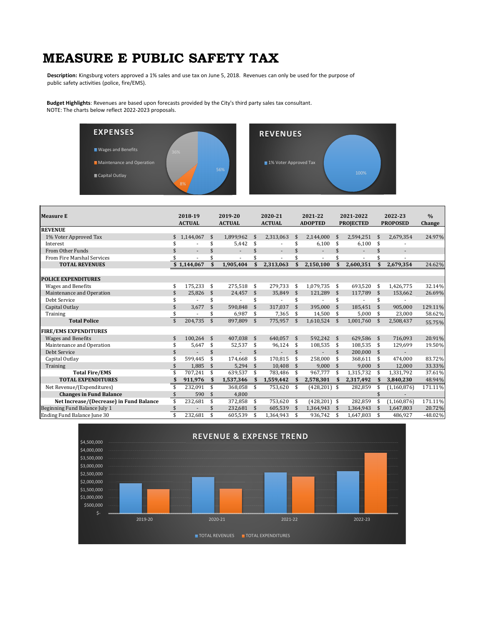## **MEASURE E PUBLIC SAFETY TAX**

**Description:** Kingsburg voters approved a 1% sales and use tax on June 5, 2018. Revenues can only be used for the purpose of public safety activities (police, fire/EMS).

**Budget Highlights**: Revenues are based upon forecasts provided by the City's third party sales tax consultant. NOTE: The charts below reflect 2022‐2023 proposals.





| <b>Measure E</b>                        |                    | 2018-19<br><b>ACTUAL</b> |                    | 2019-20<br><b>ACTUAL</b> | 2020-21<br><b>ACTUAL</b> |                          |                    | 2021-22<br><b>ADOPTED</b> |                     | 2021-2022<br><b>PROJECTED</b> |              | 2022-23<br><b>PROPOSED</b> | $\frac{0}{0}$<br>Change |
|-----------------------------------------|--------------------|--------------------------|--------------------|--------------------------|--------------------------|--------------------------|--------------------|---------------------------|---------------------|-------------------------------|--------------|----------------------------|-------------------------|
| <b>REVENUE</b>                          |                    |                          |                    |                          |                          |                          |                    |                           |                     |                               |              |                            |                         |
| 1% Voter Approved Tax                   | \$                 | 1.144.067                | \$                 | 1.899.962                | \$                       | 2,313,063                | \$                 | 2.144.000                 |                     | 2.594.251                     | \$           | 2,679,354                  | 24.97%                  |
| Interest                                |                    |                          | \$                 | 5,442                    | \$                       |                          | \$                 | 6,100                     | \$                  | 6,100                         | \$           |                            |                         |
| From Other Funds                        | \$                 |                          | \$                 |                          | \$                       | $\overline{\phantom{a}}$ | \$                 |                           | \$                  |                               | \$           |                            |                         |
| From Fire Marshal Services              |                    |                          | \$                 |                          | \$                       |                          | \$                 |                           |                     |                               | \$           |                            |                         |
| <b>TOTAL REVENUES</b>                   |                    | \$1,144,067              |                    | 1,905,404                |                          | 2,313,063                | \$                 | 2,150,100                 |                     | 2,600,351                     | $\mathbf{s}$ | 2,679,354                  | 24.62%                  |
| <b>POLICE EXPENDITURES</b>              |                    |                          |                    |                          |                          |                          |                    |                           |                     |                               |              |                            |                         |
| <b>Wages and Benefits</b>               | \$                 | 175.233                  | - \$               | 275,518                  | \$                       | 279,733                  | \$                 | 1,079,735 \$              |                     | 693,520                       | \$           | 1,426,775                  | 32.14%                  |
| Maintenance and Operation               | \$                 | 25.826                   | -\$                | 24,457                   | -\$                      | 35,849                   | \$                 | 121.289                   | \$                  | 117,789                       | \$           | 153,662                    | 26.69%                  |
| Debt Service                            |                    |                          | \$                 |                          | \$                       |                          | \$                 |                           | \$                  |                               | \$           |                            |                         |
| Capital Outlay                          | \$                 | 3.677                    | \$                 | 590.848                  | \$                       | 317.037                  | \$                 | 395.000                   | \$                  | 185,451                       | \$           | 905,000                    | 129.11%                 |
| Training                                | \$                 |                          | \$                 | 6,987                    | \$                       | 7,365                    | \$                 | 14,500                    | \$                  | 5,000                         | \$           | 23,000                     | 58.62%                  |
| <b>Total Police</b>                     | $\mathbf{\hat{s}}$ | 204,735                  | $\mathfrak{S}$     | 897,809                  | \$                       | 775,957                  | $\mathbf{\hat{S}}$ | 1,610,524                 |                     | 1,001,760                     | \$           | 2,508,437                  | 55.75%                  |
| <b>FIRE/EMS EXPENDITURES</b>            |                    |                          |                    |                          |                          |                          |                    |                           |                     |                               |              |                            |                         |
| <b>Wages and Benefits</b>               | \$                 | 100.264                  | \$                 | 407.038                  | -\$                      | 640.057                  | \$                 | 592.242                   | \$                  | 629.586                       | \$           | 716.093                    | 20.91%                  |
| Maintenance and Operation               |                    | 5,647                    | \$                 | 52,537                   | \$                       | 96,124                   | \$                 | 108,535                   | \$                  | 108,535                       | \$           | 129,699                    | 19.50%                  |
| Debt Service                            | \$                 |                          | \$                 |                          | \$                       |                          | \$                 |                           | \$                  | 200,000                       | \$           |                            |                         |
| Capital Outlay                          |                    | 599.445                  | \$                 | 174.668                  | \$                       | 170.815                  | \$                 | 258.000                   | \$                  | 368.611                       | \$           | 474.000                    | 83.72%                  |
| Training                                |                    | 1.885                    | $\mathbf{\hat{S}}$ | 5,294                    | $\mathbf{\hat{S}}$       | 10.408                   | $\mathbf{\hat{S}}$ | 9,000                     | $\mathbf{\hat{S}}$  | 9,000                         | \$           | 12,000                     | 33.33%                  |
| <b>Total Fire/EMS</b>                   |                    | 707,241                  | \$                 | 639,537                  | \$                       | 783,486                  | \$                 | 967.777                   | -\$                 | 1,315,732                     | \$           | 1,331,792                  | 37.61%                  |
| <b>TOTAL EXPENDITURES</b>               | \$                 | 911,976                  | - \$               | 1,537,346                | - \$                     | 1,559,442                | S                  | 2,578,301                 | S                   | 2,317,492                     | \$           | 3,840,230                  | 48.94%                  |
| Net Revenue/(Expenditures)              | \$                 | 232,091                  | \$                 | 368,058                  | \$                       | 753,620                  | \$                 | $(428, 201)$ \$           |                     | 282,859                       | \$           | (1, 160, 876)              | 171.11%                 |
| <b>Changes in Fund Balance</b>          | \$                 | 590                      | $\mathbf{\hat{s}}$ | 4,800                    |                          |                          |                    |                           |                     |                               |              |                            |                         |
| Net Increase/(Decrease) in Fund Balance | \$                 | 232,681                  | \$                 | 372,858                  | \$                       | 753.620                  | \$                 | $(428, 201)$ \$           |                     | 282,859                       | \$           | (1, 160, 876)              | 171.11%                 |
| Beginning Fund Balance July 1           | \$                 |                          | \$                 | 232,681                  | $\mathbf{\hat{s}}$       | 605,539                  | \$                 | 1,364,943                 | $\ddot{\mathbf{r}}$ | 1,364,943                     | \$           | 1,647,803                  | 20.72%                  |
| Ending Fund Balance June 30             | \$                 | 232,681                  | \$                 | 605,539                  | \$                       | 1,364,943                | \$                 | 936,742                   |                     | 1,647,803                     | \$           | 486,927                    | $-48.02%$               |

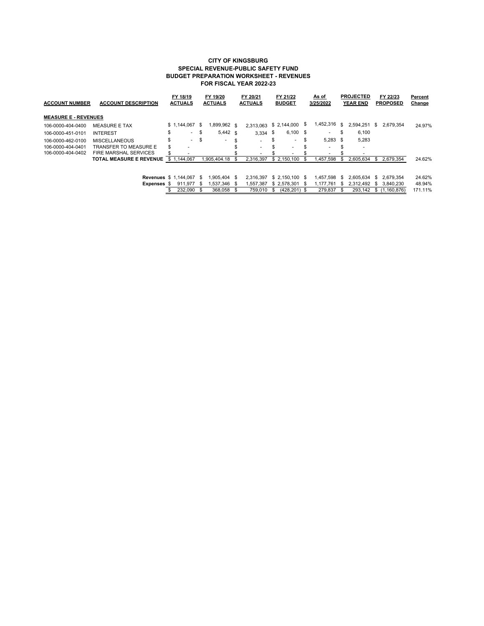#### **CITY OF KINGSBURG SPECIAL REVENUE-PUBLIC SAFETY FUND BUDGET PREPARATION WORKSHEET - REVENUES FOR FISCAL YEAR 2022-23**

| <b>ACCOUNT NUMBER</b>       | <b>ACCOUNT DESCRIPTION</b>     |    | FY 18/19<br><b>ACTUALS</b> |     | FY 19/20<br><b>ACTUALS</b> |      | FY 20/21<br><b>ACTUALS</b> |     | FY 21/22<br><b>BUDGET</b> |     | As of<br>3/25/2022 |     | <b>PROJECTED</b><br><b>YEAR END</b> |     | FY 22/23<br><b>PROPOSED</b> | Percent<br>Change |  |
|-----------------------------|--------------------------------|----|----------------------------|-----|----------------------------|------|----------------------------|-----|---------------------------|-----|--------------------|-----|-------------------------------------|-----|-----------------------------|-------------------|--|
| <b>MEASURE E - REVENUES</b> |                                |    |                            |     |                            |      |                            |     |                           |     |                    |     |                                     |     |                             |                   |  |
| 106-0000-404-0400           | <b>MEASURE E TAX</b>           |    | \$1.144.067                | S.  | 1,899,962 \$               |      | 2,313,063 \$ 2,144,000     |     |                           | S   | 1,452,316          | -S  | 2.594.251 \$                        |     | 2.679.354                   | 24.97%            |  |
| 106-0000-451-0101           | <b>INTEREST</b>                | \$ | ۰.                         | -\$ | $5,442$ \$                 |      | $3.334$ \$                 |     | $6,100$ \$                |     | ۰.                 | S   | 6.100                               |     |                             |                   |  |
| 106-0000-462-0100           | <b>MISCELLANEOUS</b>           | \$ | $\sim$                     | \$  | ۰                          |      |                            | \$  | $\overline{\phantom{a}}$  | \$. | $5,283$ \$         |     | 5,283                               |     |                             |                   |  |
| 106-0000-404-0401           | <b>TRANSFER TO MEASURE E</b>   | \$ |                            |     |                            |      |                            | \$  |                           |     | ۰                  |     | $\overline{\phantom{a}}$            |     |                             |                   |  |
| 106-0000-404-0402           | <b>FIRE MARSHAL SERVICES</b>   |    |                            |     |                            |      |                            |     |                           |     |                    |     |                                     |     |                             |                   |  |
|                             | <b>TOTAL MEASURE E REVENUE</b> |    | \$1,144,067                |     | 1.905.404.18               |      | 2.316.397                  |     | \$ 2.150.100              | S   | .457.598           | \$. | 2,605,634                           | \$. | 2.679.354                   | 24.62%            |  |
|                             | <b>Revenues \$ 1.144.067</b>   |    |                            | -S  | .905.404 \$                |      | 2.316.397                  |     | $$2.150.100$ \$           |     | 1.457.598          | -S  | 2.605.634                           | \$. | 2.679.354                   | 24.62%            |  |
|                             | Expenses \$                    |    | 911.977                    | -S  | 1.537.346                  | - 95 | 1.557.387                  |     | $$2.578.301$ \$           |     | 1.177.761          | -S  | 2.312.492                           |     | \$ 3.840.230                | 48.94%            |  |
|                             |                                |    | 232,090                    |     | 368,058                    |      | 759.010                    | \$. | $(428.201)$ \$            |     | 279.837            |     | 293.142                             |     | \$(1.160.876)               | 171.11%           |  |